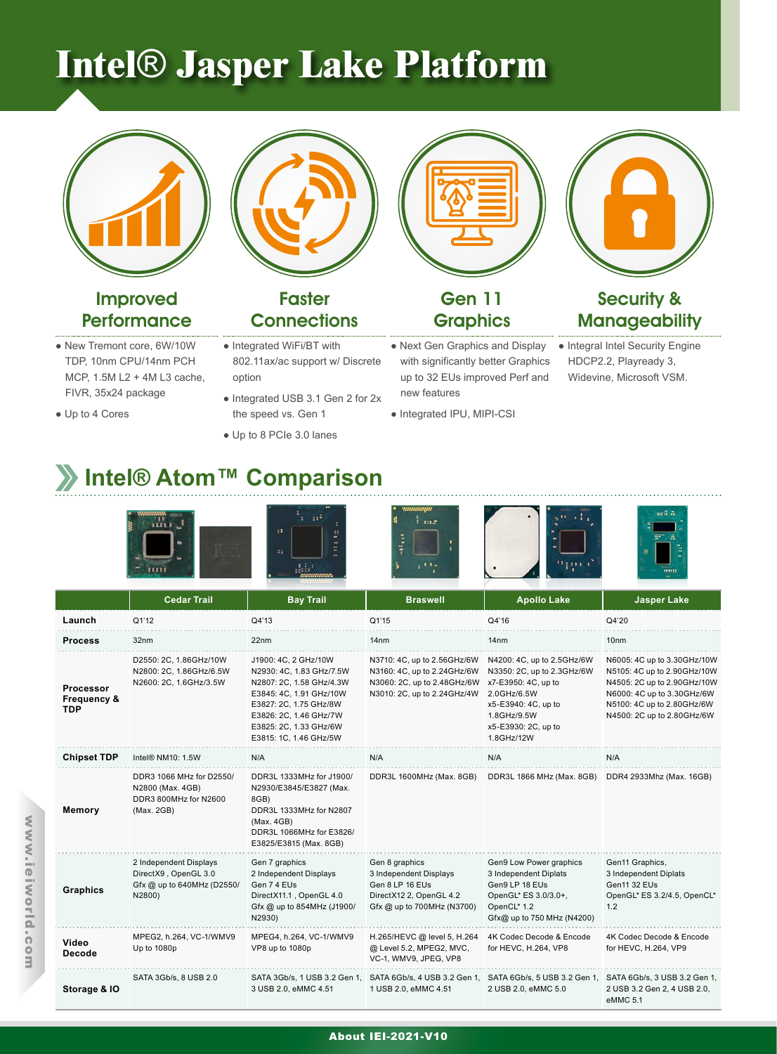# **Intel**® **Jasper Lake Platform**



### Improved **Performance**

- New Tremont core, 6W/10W TDP, 10nm CPU/14nm PCH MCP, 1.5M L2 + 4M L3 cache, FIVR, 35x24 package
- Up to 4 Cores



### **Faster Connections**

- Integrated WiFi/BT with 802.11ax/ac support w/ Discrete option
- Integrated USB 3.1 Gen 2 for 2x the speed vs. Gen 1
- Up to 8 PCIe 3.0 lanes

● Next Gen Graphics and Display with significantly better Graphics up to 32 EUs improved Perf and new features

Gen 11 **Graphics** 

● Integrated IPU, MIPI-CSI



### Security & **Manageability**

● Integral Intel Security Engine HDCP2.2, Playready 3, Widevine, Microsoft VSM.

## **Intel® Atom™ Comparison**



|                                                          | <b>Cedar Trail</b>                                                                     | <b>Bay Trail</b>                                                                                                                                                                                                | <b>Braswell</b>                                                                                                          | <b>Apollo Lake</b>                                                                                                                                                        | <b>Jasper Lake</b>                                                                                                                                                                  |
|----------------------------------------------------------|----------------------------------------------------------------------------------------|-----------------------------------------------------------------------------------------------------------------------------------------------------------------------------------------------------------------|--------------------------------------------------------------------------------------------------------------------------|---------------------------------------------------------------------------------------------------------------------------------------------------------------------------|-------------------------------------------------------------------------------------------------------------------------------------------------------------------------------------|
| Launch                                                   | Q1'12                                                                                  | Q4'13                                                                                                                                                                                                           | Q1'15                                                                                                                    | Q4'16                                                                                                                                                                     | Q4'20                                                                                                                                                                               |
| <b>Process</b>                                           | 32nm                                                                                   | 22nm                                                                                                                                                                                                            | 14 <sub>nm</sub>                                                                                                         | 14nm                                                                                                                                                                      | 10 <sub>nm</sub>                                                                                                                                                                    |
| <b>Processor</b><br><b>Frequency &amp;</b><br><b>TDP</b> | D2550: 2C, 1.86GHz/10W<br>N2800: 2C, 1.86GHz/6.5W<br>N2600: 2C, 1.6GHz/3.5W            | J1900: 4C, 2 GHz/10W<br>N2930: 4C, 1.83 GHz/7.5W<br>N2807: 2C, 1.58 GHz/4.3W<br>E3845: 4C, 1.91 GHz/10W<br>E3827: 2C, 1.75 GHz/8W<br>E3826: 2C, 1.46 GHz/7W<br>E3825: 2C, 1.33 GHz/6W<br>E3815: 1C, 1.46 GHz/5W | N3710: 4C, up to 2.56GHz/6W<br>N3160: 4C, up to 2.24GHz/6W<br>N3060: 2C, up to 2.48GHz/6W<br>N3010: 2C, up to 2.24GHz/4W | N4200: 4C, up to 2.5GHz/6W<br>N3350: 2C, up to 2.3GHz/6W<br>x7-E3950: 4C, up to<br>2.0GHz/6.5W<br>x5-E3940: 4C, up to<br>1.8GHz/9.5W<br>x5-E3930: 2C, up to<br>1.8GHz/12W | N6005: 4C up to 3.30GHz/10W<br>N5105: 4C up to 2.90GHz/10W<br>N4505: 2C up to 2.90GHz/10W<br>N6000: 4C up to 3.30GHz/6W<br>N5100: 4C up to 2.80GHz/6W<br>N4500: 2C up to 2.80GHz/6W |
| <b>Chipset TDP</b>                                       | Intel <sup>®</sup> NM10: 1.5W                                                          | N/A                                                                                                                                                                                                             | N/A                                                                                                                      | N/A                                                                                                                                                                       | N/A                                                                                                                                                                                 |
| <b>Memory</b>                                            | DDR3 1066 MHz for D2550/<br>N2800 (Max. 4GB)<br>DDR3 800MHz for N2600<br>(Max. 2GB)    | DDR3L 1333MHz for J1900/<br>N2930/E3845/E3827 (Max.<br>8GB)<br>DDR3L 1333MHz for N2807<br>(Max. 4GB)<br>DDR3L 1066MHz for E3826/<br>E3825/E3815 (Max. 8GB)                                                      | DDR3L 1600MHz (Max. 8GB)                                                                                                 | DDR3L 1866 MHz (Max. 8GB)                                                                                                                                                 | DDR4 2933Mhz (Max. 16GB)                                                                                                                                                            |
| <b>Graphics</b>                                          | 2 Independent Displays<br>DirectX9, OpenGL 3.0<br>Gfx @ up to 640MHz (D2550/<br>N2800) | Gen 7 graphics<br>2 Independent Displays<br>Gen 7 4 EUs<br>DirectX11.1, OpenGL 4.0<br>Gfx @ up to 854MHz (J1900/<br>N2930)                                                                                      | Gen 8 graphics<br>3 Independent Displays<br>Gen 8 LP 16 EUs<br>DirectX12 2, OpenGL 4.2<br>Gfx @ up to 700MHz (N3700)     | Gen9 Low Power graphics<br>3 Independent Diplats<br>Gen9 LP 18 EUs<br>OpenGL* ES 3.0/3.0+,<br>OpenCL* 1.2<br>Gfx@ up to 750 MHz (N4200)                                   | Gen11 Graphics,<br>3 Independent Diplats<br><b>Gen11 32 EUs</b><br>OpenGL* ES 3.2/4.5, OpenCL*<br>1.2                                                                               |
| Video<br><b>Decode</b>                                   | MPEG2, h.264, VC-1/WMV9<br>Up to 1080p                                                 | MPEG4, h.264, VC-1/WMV9<br>VP8 up to 1080p                                                                                                                                                                      | H.265/HEVC @ level 5, H.264<br>@ Level 5.2, MPEG2, MVC,<br>VC-1, WMV9, JPEG, VP8                                         | 4K Codec Decode & Encode<br>for HEVC, H.264, VP8                                                                                                                          | 4K Codec Decode & Encode<br>for HEVC, H.264, VP9                                                                                                                                    |
| Storage & IO                                             | SATA 3Gb/s, 8 USB 2.0                                                                  | SATA 3Gb/s, 1 USB 3.2 Gen 1,<br>3 USB 2.0, eMMC 4.51                                                                                                                                                            | SATA 6Gb/s, 4 USB 3.2 Gen 1,<br>1 USB 2.0, eMMC 4.51                                                                     | 2 USB 2.0, eMMC 5.0                                                                                                                                                       | SATA 6Gb/s, 5 USB 3.2 Gen 1, SATA 6Gb/s, 3 USB 3.2 Gen 1,<br>2 USB 3.2 Gen 2, 4 USB 2.0,<br>eMMC 5.1                                                                                |